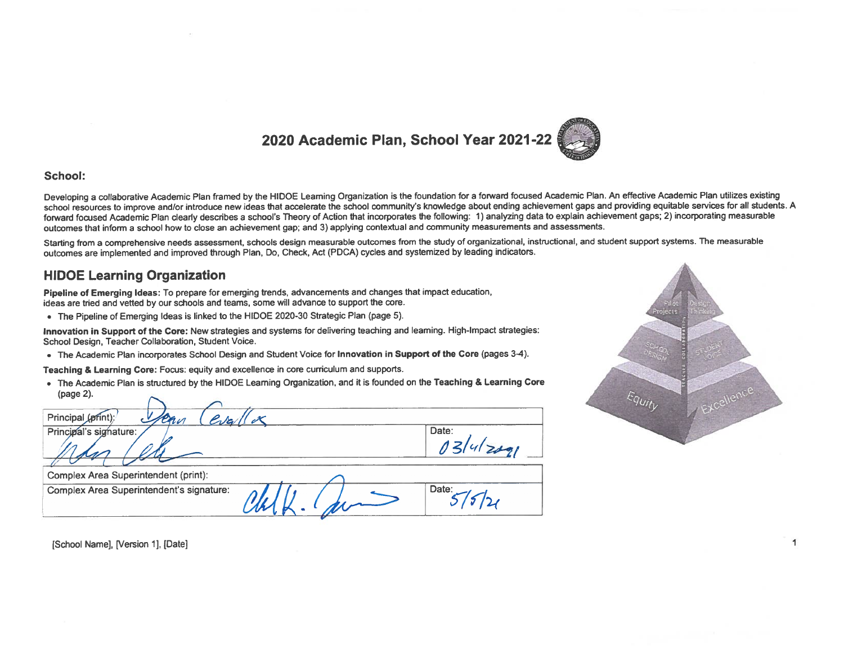

#### School:

Developing a collaborative Academic Plan framed by the HIDOE Leaming Organization is the foundation for a forward focused Academic Plan. An effective Academic Plan utilizes existing school resources to improve and/or introduce new ideas that accelerate the school community's knowledge about ending achievement gaps and providing equitable services for all students. A forward focused Academic Plan clearly describes a school's Theory of Action that incorporates the following: 1) analyzing data to explain achievement gaps; 2) incorporating measurable outcomes that inform a school how to close an achievement gap; and 3) applying contextual and community measurements and assessments.

Starting from a comprehensive needs assessment, schools design measurable outcomes from the study of organizational, instructional, and student support systems. The measurable outcomes are implemented and improved through Plan, Do, Check, Act (PDCA) cycles and systemized by leading indicators.

### **HIDOE Learning Organization**

Pipeline of Emerging Ideas: To prepare for emerging trends, advancements and changes that impact education, ideas are tried and vetted by our schools and teams, some will advance to support the core.

• The Pipeline of Emerging Ideas is linked to the HIDOE 2020-30 Strategic Plan (page 5).

Innovation in Support of the Core: New strategies and systems for delivering teaching and leaming. High-Impact strategies: School Design, Teacher Collaboration, Student Voice.

. The Academic Plan incorporates School Design and Student Voice for Innovation in Support of the Core (pages 3-4).

Teaching & Learning Core: Focus: equity and excellence in core curriculum and supports.

. The Academic Plan is structured by the HIDOE Learning Organization, and it is founded on the Teaching & Learning Core (page 2). ~

| Principal (print):<br>eva<br>ern         |       |
|------------------------------------------|-------|
| Principal's signature:                   | Date: |
| Complex Area Superintendent (print):     |       |
| Complex Area Superintendent's signature: | Date: |



[School Name], [Version 1], [Date]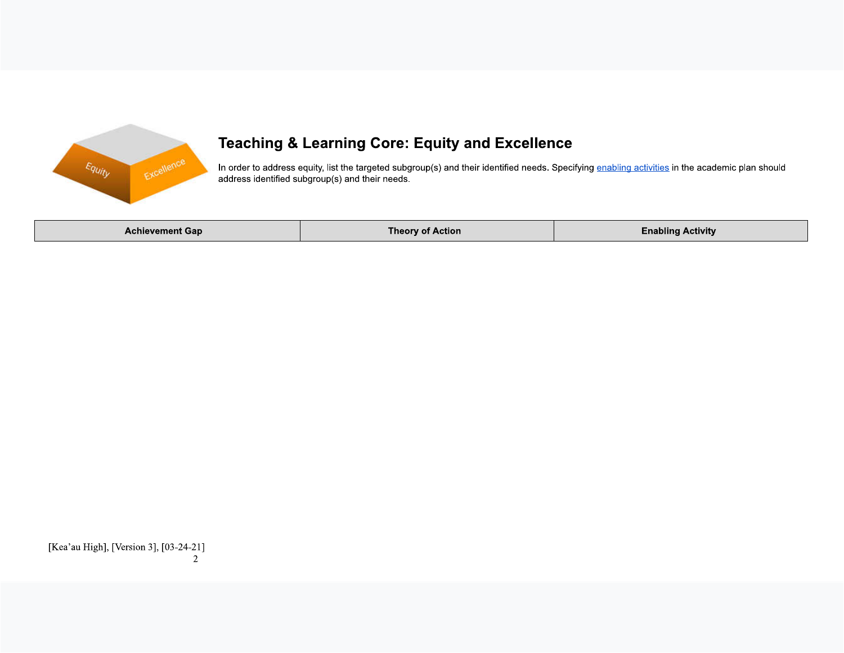

# **Teaching & Learning Core: Equity and Excellence**

In order to address equity, list the targeted subgroup(s) and their identified needs. Specifying enabling activities in the academic plan should address identified subgroup(s) and their needs.

| ⊦Achievement Gap | <b>Theorv of Action</b> | <b>Enabling Activity</b> |
|------------------|-------------------------|--------------------------|
|------------------|-------------------------|--------------------------|

[Kea'au High], [Version 3], [03-24-21]  $\overline{2}$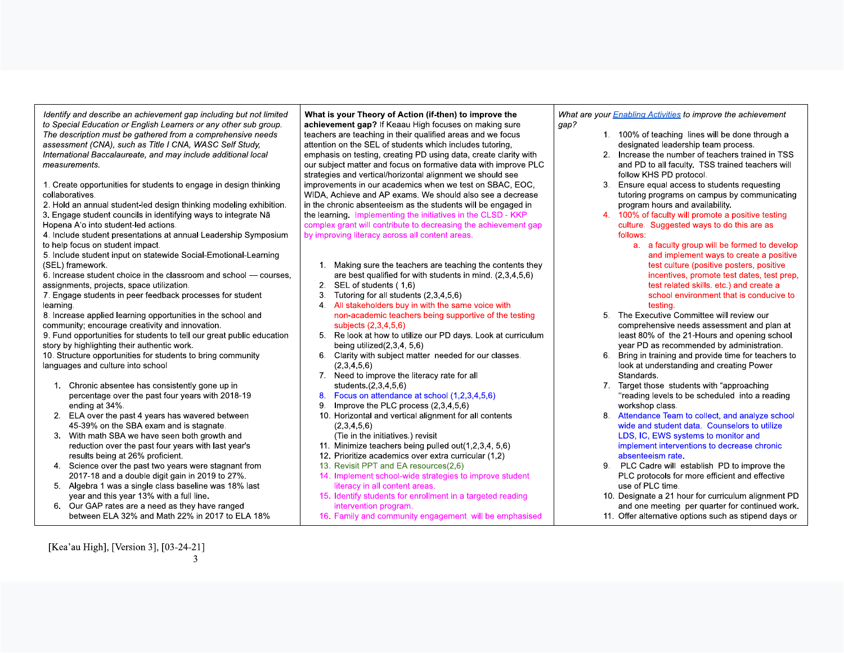Identify and describe an achievement gap including but not limited to Special Education or English Learners or any other sub group. The description must be gathered from a comprehensive needs assessment (CNA), such as Title I CNA, WASC Self Study, International Baccalaureate, and may include additional local measurements.

1. Create opportunities for students to engage in design thinking collaboratives.

2. Hold an annual student-led design thinking modeling exhibition. 3. Engage student councils in identifying ways to integrate Na Hopena A'o into student-led actions.

4. Include student presentations at annual Leadership Symposium to help focus on student impact.

5. Include student input on statewide Social-Emotional-Learning (SEL) framework.

6. Increase student choice in the classroom and school - courses, assignments, projects, space utilization.

7. Engage students in peer feedback processes for student learning.

8. Increase applied learning opportunities in the school and community; encourage creativity and innovation.

9. Fund opportunities for students to tell our great public education story by highlighting their authentic work.

10. Structure opportunities for students to bring community languages and culture into school

- 1. Chronic absentee has consistently gone up in percentage over the past four years with 2018-19 ending at 34%.
- 2. ELA over the past 4 years has wavered between 45-39% on the SBA exam and is stagnate.
- 3. With math SBA we have seen both growth and reduction over the past four years with last year's results being at 26% proficient.
- 4. Science over the past two vears were stagnant from 2017-18 and a double digit gain in 2019 to 27%.
- 5. Algebra 1 was a single class baseline was 18% last year and this year 13% with a full line.
- 6. Our GAP rates are a need as they have ranged between ELA 32% and Math 22% in 2017 to ELA 18%

What is your Theory of Action (if-then) to improve the achievement gap? If Keaau High focuses on making sure teachers are teaching in their qualified areas and we focus attention on the SEL of students which includes tutoring. emphasis on testing, creating PD using data, create clarity with our subject matter and focus on formative data with improve PLC strategies and vertical/horizontal alignment we should see improvements in our academics when we test on SBAC, EOC, WIDA. Achieve and AP exams. We should also see a decrease in the chronic absenteeism as the students will be engaged in the learning. Implementing the initiatives in the CLSD - KKP complex grant will contribute to decreasing the achievement gap by improving literacy across all content areas.

- 1. Making sure the teachers are teaching the contents they are best qualified for with students in mind. (2,3,4,5,6)
- 2. SEL of students (1,6)
- Tutoring for all students (2,3,4,5,6)  $3.$
- 4. All stakeholders buy in with the same voice with non-academic teachers being supportive of the testing subjects (2,3,4,5,6)

5. Re look at how to utilize our PD days. Look at curriculum being utilized $(2,3,4, 5,6)$ 

- 6. Clarity with subject matter needed for our classes.  $(2,3,4,5,6)$
- 7. Need to improve the literacy rate for all students.(2,3,4,5,6)
- 8. Focus on attendance at school (1,2,3,4,5,6)
- 9. Improve the PLC process  $(2,3,4,5,6)$
- 10. Horizontal and vertical alignment for all contents  $(2.3.4.5.6)$ 
	- (Tie in the initiatives.) revisit
- 11. Minimize teachers being pulled out(1.2.3.4, 5.6)
- 12. Prioritize academics over extra curricular (1,2)
- 13. Revisit PPT and EA resources(2.6)
- 14. Implement school-wide strategies to improve student literacy in all content areas.
- 15. Identify students for enrollment in a targeted reading intervention program.
- 16. Family and community engagement will be emphasised

What are your **Enabling Activities** to improve the achievement gap?

- 1. 100% of teaching lines will be done through a designated leadership team process.
- 2. Increase the number of teachers trained in TSS and PD to all faculty. TSS trained teachers will follow KHS PD protocol.
- 3. Ensure equal access to students requesting tutoring programs on campus by communicating program hours and availability.
- 4. 100% of faculty will promote a positive testing culture. Suggested ways to do this are as follows:
	- a. a faculty group will be formed to develop and implement ways to create a positive test culture (positive posters, positive incentives, promote test dates, test prep, test related skills. etc.) and create a school environment that is conducive to testing.
- 5. The Executive Committee will review our comprehensive needs assessment and plan at least 80% of the 21-Hours and opening school year PD as recommended by administration.
- 6. Bring in training and provide time for teachers to look at understanding and creating Power Standards.
- 7. Target those students with "approaching "reading levels to be scheduled into a reading workshop class.
- 8. Attendance Team to collect, and analyze school wide and student data. Counselors to utilize LDS, IC, EWS systems to monitor and implement interventions to decrease chronic absenteeism rate.
- 9. PLC Cadre will establish PD to improve the PLC protocols for more efficient and effective use of PLC time.
- 10. Designate a 21 hour for curriculum alignment PD and one meeting per quarter for continued work.
- 11. Offer alternative options such as stipend days or

[Kea'au High], [Version 3], [03-24-21]  $\mathbf{R}$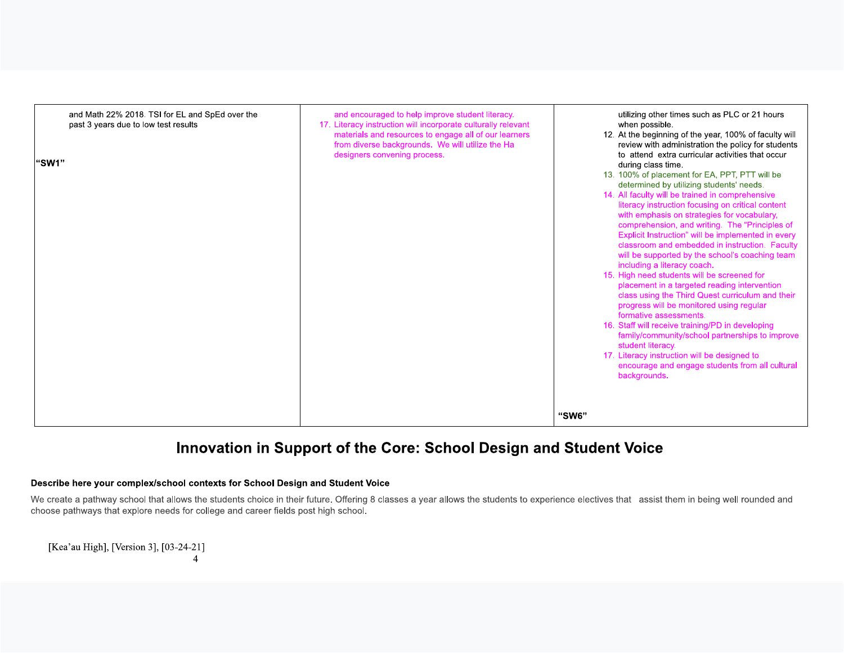| and Math 22% 2018. TSI for EL and SpEd over the<br>past 3 years due to low test results<br>"SW1" | and encouraged to help improve student literacy.<br>17. Literacy instruction will incorporate culturally relevant<br>materials and resources to engage all of our learners<br>from diverse backgrounds. We will utilize the Ha<br>designers convening process. | utilizing other times such as PLC or 21 hours<br>when possible.<br>12. At the beginning of the year, 100% of faculty will<br>review with administration the policy for students<br>to attend extra curricular activities that occur<br>during class time.<br>13. 100% of placement for EA, PPT, PTT will be<br>determined by utilizing students' needs.<br>14. All faculty will be trained in comprehensive<br>literacy instruction focusing on critical content<br>with emphasis on strategies for vocabulary,<br>comprehension, and writing. The "Principles of<br>Explicit Instruction" will be implemented in every<br>classroom and embedded in instruction. Faculty<br>will be supported by the school's coaching team<br>including a literacy coach.<br>15. High need students will be screened for<br>placement in a targeted reading intervention<br>class using the Third Quest curriculum and their<br>progress will be monitored using regular<br>formative assessments.<br>16. Staff will receive training/PD in developing<br>family/community/school partnerships to improve<br>student literacy.<br>17. Literacy instruction will be designed to<br>encourage and engage students from all cultural<br>backgrounds. |
|--------------------------------------------------------------------------------------------------|----------------------------------------------------------------------------------------------------------------------------------------------------------------------------------------------------------------------------------------------------------------|-------------------------------------------------------------------------------------------------------------------------------------------------------------------------------------------------------------------------------------------------------------------------------------------------------------------------------------------------------------------------------------------------------------------------------------------------------------------------------------------------------------------------------------------------------------------------------------------------------------------------------------------------------------------------------------------------------------------------------------------------------------------------------------------------------------------------------------------------------------------------------------------------------------------------------------------------------------------------------------------------------------------------------------------------------------------------------------------------------------------------------------------------------------------------------------------------------------------------------------|
|                                                                                                  |                                                                                                                                                                                                                                                                | "SW6"                                                                                                                                                                                                                                                                                                                                                                                                                                                                                                                                                                                                                                                                                                                                                                                                                                                                                                                                                                                                                                                                                                                                                                                                                               |

## Innovation in Support of the Core: School Design and Student Voice

#### Describe here your complex/school contexts for School Design and Student Voice

We create a pathway school that allows the students choice in their future. Offering 8 classes a year allows the students to experience electives that assist them in being well rounded and choose pathways that explore needs for college and career fields post high school.

[Kea'au High], [Version 3], [03-24-21]  $\overline{4}$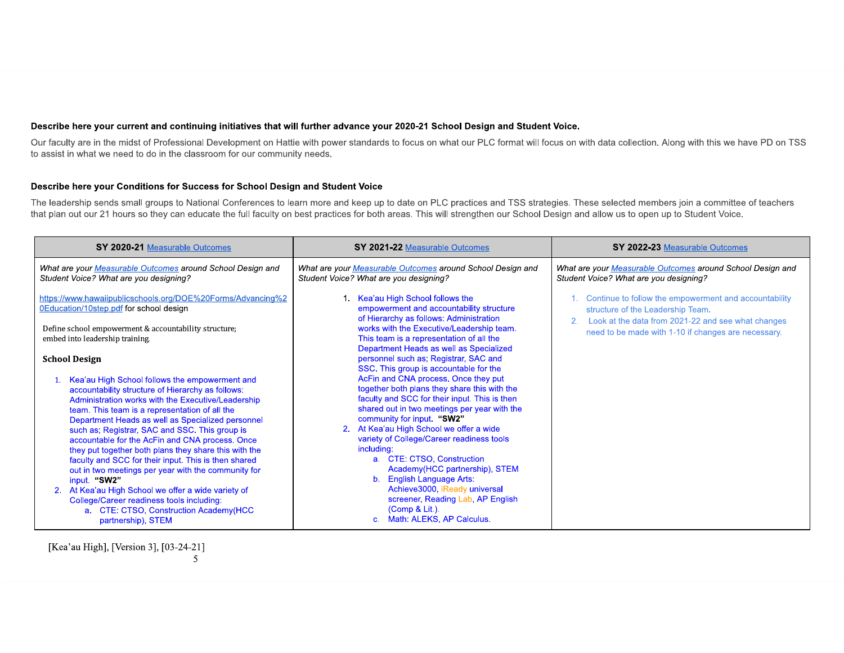#### Describe here your current and continuing initiatives that will further advance your 2020-21 School Design and Student Voice.

Our faculty are in the midst of Professional Development on Hattie with power standards to focus on what our PLC format will focus on with data collection. Along with this we have PD on TSS to assist in what we need to do in the classroom for our community needs.

#### Describe here your Conditions for Success for School Design and Student Voice

The leadership sends small groups to National Conferences to learn more and keep up to date on PLC practices and TSS strategies. These selected members join a committee of teachers that plan out our 21 hours so they can educate the full faculty on best practices for both areas. This will strengthen our School Design and allow us to open up to Student Voice.

| SY 2020-21 Measurable Outcomes                                                                                                                                                                                                                                                                                                                                                                                                                                                                                                                                                                                                                                                            | SY 2021-22 Measurable Outcomes                                                                                                                                                                                                                                                                                                                                                                                                                                                                                                                                                   | SY 2022-23 Measurable Outcomes                                                                                                                   |
|-------------------------------------------------------------------------------------------------------------------------------------------------------------------------------------------------------------------------------------------------------------------------------------------------------------------------------------------------------------------------------------------------------------------------------------------------------------------------------------------------------------------------------------------------------------------------------------------------------------------------------------------------------------------------------------------|----------------------------------------------------------------------------------------------------------------------------------------------------------------------------------------------------------------------------------------------------------------------------------------------------------------------------------------------------------------------------------------------------------------------------------------------------------------------------------------------------------------------------------------------------------------------------------|--------------------------------------------------------------------------------------------------------------------------------------------------|
| What are your Measurable Outcomes around School Design and<br>Student Voice? What are you designing?                                                                                                                                                                                                                                                                                                                                                                                                                                                                                                                                                                                      | What are your Measurable Outcomes around School Design and<br>Student Voice? What are you designing?                                                                                                                                                                                                                                                                                                                                                                                                                                                                             | What are your Measurable Outcomes around School Design and<br>Student Voice? What are you designing?                                             |
| https://www.hawaiipublicschools.org/DOE%20Forms/Advancing%2<br>0Education/10step.pdf for school design                                                                                                                                                                                                                                                                                                                                                                                                                                                                                                                                                                                    | 1 Kea'au High School follows the<br>empowerment and accountability structure<br>of Hierarchy as follows: Administration                                                                                                                                                                                                                                                                                                                                                                                                                                                          | Continue to follow the empowerment and accountability<br>structure of the Leadership Team.<br>Look at the data from 2021-22 and see what changes |
| Define school empowerment & accountability structure;<br>embed into leadership training.                                                                                                                                                                                                                                                                                                                                                                                                                                                                                                                                                                                                  | works with the Executive/Leadership team.<br>This team is a representation of all the<br>Department Heads as well as Specialized                                                                                                                                                                                                                                                                                                                                                                                                                                                 | need to be made with 1-10 if changes are necessary.                                                                                              |
| <b>School Design</b><br>Kea'au High School follows the empowerment and<br>accountability structure of Hierarchy as follows:<br>Administration works with the Executive/Leadership<br>team. This team is a representation of all the<br>Department Heads as well as Specialized personnel<br>such as; Registrar, SAC and SSC. This group is<br>accountable for the AcFin and CNA process. Once<br>they put together both plans they share this with the<br>faculty and SCC for their input. This is then shared<br>out in two meetings per year with the community for<br>input. "SW2"<br>2. At Kea'au High School we offer a wide variety of<br>College/Career readiness tools including: | personnel such as; Registrar, SAC and<br>SSC. This group is accountable for the<br>AcFin and CNA process. Once they put<br>together both plans they share this with the<br>faculty and SCC for their input. This is then<br>shared out in two meetings per year with the<br>community for input. "SW2"<br>2. At Kea'au High School we offer a wide<br>variety of College/Career readiness tools<br>including:<br>a. CTE: CTSO, Construction<br>Academy(HCC partnership), STEM<br>b. English Language Arts:<br>Achieve3000, iReady universal<br>screener, Reading Lab, AP English |                                                                                                                                                  |
| a. CTE: CTSO, Construction Academy(HCC<br>partnership), STEM                                                                                                                                                                                                                                                                                                                                                                                                                                                                                                                                                                                                                              | (Comp & Lit.).<br>c. Math: ALEKS, AP Calculus.                                                                                                                                                                                                                                                                                                                                                                                                                                                                                                                                   |                                                                                                                                                  |

[Kea'au High], [Version 3], [03-24-21]  $5<sup>5</sup>$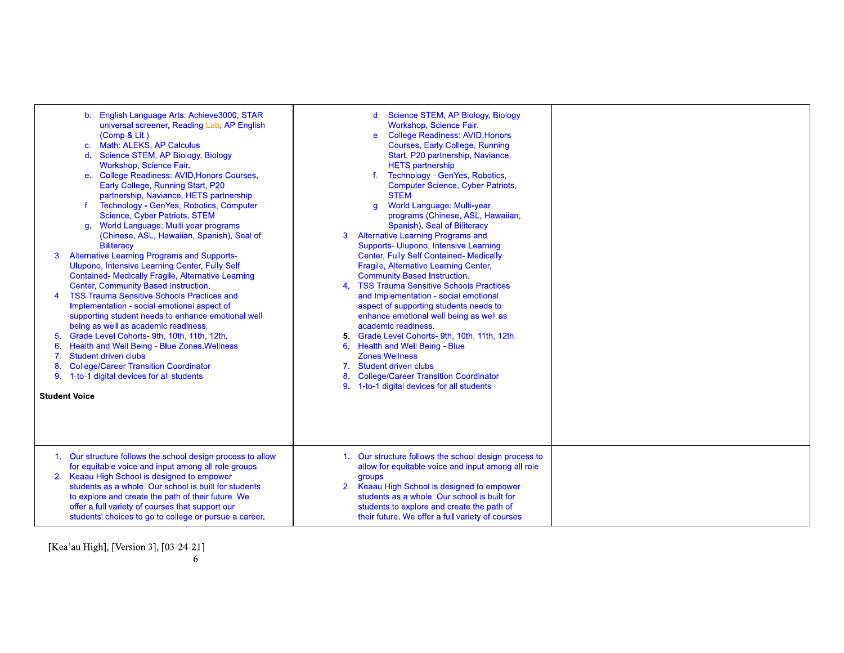| 5.<br>8.<br>9. | English Language Arts: Achieve3000, STAR<br>$\mathbf{b}$ .<br>universal screener, Reading Lab, AP English<br>(Comp & Lit.).<br>Math: ALEKS, AP Calculus.<br>c.<br>Science STEM, AP Biology, Biology<br>$\mathbf{d}$ .<br>Workshop, Science Fair.<br><b>College Readiness: AVID, Honors Courses,</b><br>$e_{1}$<br>Early College, Running Start, P20<br>partnership, Naviance, HETS partnership<br>f. Technology - GenYes, Robotics, Computer<br>Science, Cyber Patriots, STEM<br>World Language: Multi-year programs<br>q.<br>(Chinese, ASL, Hawaiian, Spanish), Seal of<br><b>Biliteracy</b><br>3. Alternative Learning Programs and Supports-<br>Ulupono, Intensive Learning Center, Fully Self<br><b>Contained- Medically Fragile, Alternative Learning</b><br>Center, Community Based Instruction.<br>4. TSS Trauma Sensitive Schools Practices and<br>Implementation - social emotional aspect of<br>supporting student needs to enhance emotional well<br>being as well as academic readiness.<br>Grade Level Cohorts- 9th, 10th, 11th, 12th.<br>Health and Well Being - Blue Zones. Wellness<br>Student driven clubs<br><b>College/Career Transition Coordinator</b><br>1-to-1 digital devices for all students<br><b>Student Voice</b> | d. Science STEM, AP Biology, Biology<br>Workshop, Science Fair.<br>e. College Readiness: AVID, Honors<br>Courses, Early College, Running<br>Start, P20 partnership, Naviance,<br><b>HETS</b> partnership<br>Technology - GenYes, Robotics,<br><b>Computer Science, Cyber Patriots,</b><br><b>STEM</b><br>g. World Language: Multi-year<br>programs (Chinese, ASL, Hawaiian,<br>Spanish), Seal of Biliteracy<br><b>Alternative Learning Programs and</b><br>3.<br>Supports- Ulupono, Intensive Learning<br>Center, Fully Self Contained- Medically<br>Fragile, Alternative Learning Center,<br><b>Community Based Instruction.</b><br>4. TSS Trauma Sensitive Schools Practices<br>and Implementation - social emotional<br>aspect of supporting students needs to<br>enhance emotional well being as well as<br>academic readiness.<br>5. Grade Level Cohorts- 9th, 10th, 11th, 12th.<br>Health and Well Being - Blue<br>6.<br>Zones. Wellness<br>Student driven clubs<br>7.<br><b>College/Career Transition Coordinator</b><br>8.<br>1-to-1 digital devices for all students<br>9. |  |
|----------------|------------------------------------------------------------------------------------------------------------------------------------------------------------------------------------------------------------------------------------------------------------------------------------------------------------------------------------------------------------------------------------------------------------------------------------------------------------------------------------------------------------------------------------------------------------------------------------------------------------------------------------------------------------------------------------------------------------------------------------------------------------------------------------------------------------------------------------------------------------------------------------------------------------------------------------------------------------------------------------------------------------------------------------------------------------------------------------------------------------------------------------------------------------------------------------------------------------------------------------------------|-------------------------------------------------------------------------------------------------------------------------------------------------------------------------------------------------------------------------------------------------------------------------------------------------------------------------------------------------------------------------------------------------------------------------------------------------------------------------------------------------------------------------------------------------------------------------------------------------------------------------------------------------------------------------------------------------------------------------------------------------------------------------------------------------------------------------------------------------------------------------------------------------------------------------------------------------------------------------------------------------------------------------------------------------------------------------------------|--|
|                | 1. Our structure follows the school design process to allow<br>for equitable voice and input among all role groups<br>2. Keaau High School is designed to empower<br>students as a whole. Our school is built for students<br>to explore and create the path of their future. We<br>offer a full variety of courses that support our<br>students' choices to go to college or pursue a career.                                                                                                                                                                                                                                                                                                                                                                                                                                                                                                                                                                                                                                                                                                                                                                                                                                                 | 1. Our structure follows the school design process to<br>allow for equitable voice and input among all role<br>groups<br>2. Keaau High School is designed to empower<br>students as a whole. Our school is built for<br>students to explore and create the path of<br>their future. We offer a full variety of courses                                                                                                                                                                                                                                                                                                                                                                                                                                                                                                                                                                                                                                                                                                                                                              |  |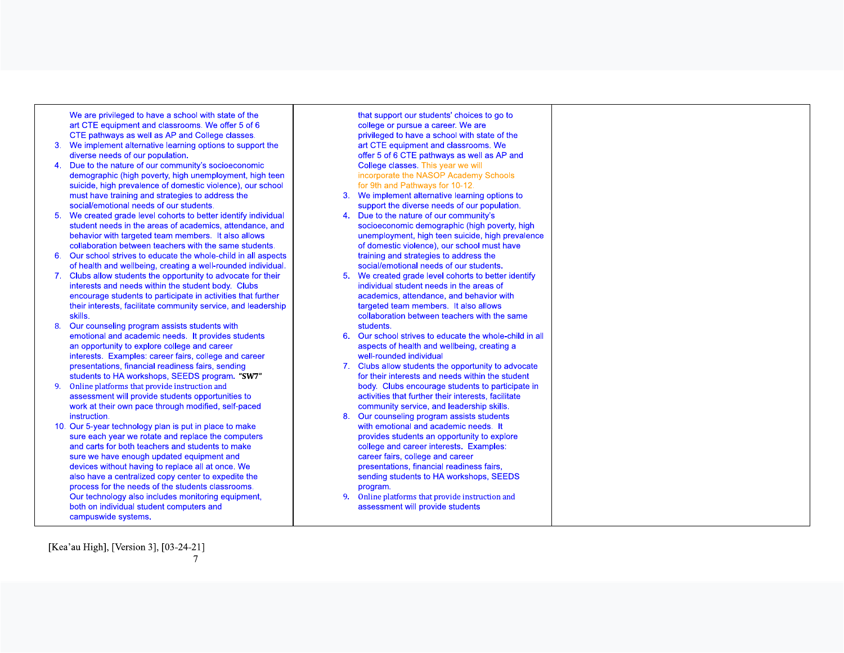We are privileged to have a school with state of the art CTE equipment and classrooms. We offer 5 of 6 CTE pathways as well as AP and College classes.

- 3. We implement alternative learning options to support the diverse needs of our population.
- Due to the nature of our community's socioeconomic  $\blacktriangle$ demographic (high poverty, high unemployment, high teen suicide, high prevalence of domestic violence), our school must have training and strategies to address the social/emotional needs of our students.
- We created grade level cohorts to better identify individual student needs in the areas of academics, attendance, and behavior with targeted team members. It also allows collaboration between teachers with the same students.
- 6. Our school strives to educate the whole-child in all aspects of health and wellbeing, creating a well-rounded individual.
- 7. Clubs allow students the opportunity to advocate for their interests and needs within the student body. Clubs encourage students to participate in activities that further their interests, facilitate community service, and leadership skills.
- Our counseling program assists students with 8. emotional and academic needs. It provides students an opportunity to explore college and career interests. Examples: career fairs, college and career presentations, financial readiness fairs, sending students to HA workshops, SEEDS program. "SW7"
- Online platforms that provide instruction and  $9<sub>1</sub>$ assessment will provide students opportunities to work at their own pace through modified, self-paced instruction.
- 10. Our 5-year technology plan is put in place to make sure each year we rotate and replace the computers and carts for both teachers and students to make sure we have enough updated equipment and devices without having to replace all at once. We also have a centralized copy center to expedite the process for the needs of the students classrooms. Our technology also includes monitoring equipment, both on individual student computers and campuswide systems.

that support our students' choices to go to college or pursue a career. We are privileged to have a school with state of the art CTE equipment and classrooms. We offer 5 of 6 CTE pathways as well as AP and College classes. This year we will incorporate the NASOP Academy Schools for 9th and Pathways for 10-12. 3. We implement alternative learning options to support the diverse needs of our population. 4. Due to the nature of our community's socioeconomic demographic (high poverty, high unemployment, high teen suicide, high prevalence of domestic violence), our school must have training and strategies to address the social/emotional needs of our students. We created grade level cohorts to better identify  $5.$ individual student needs in the areas of academics, attendance, and behavior with targeted team members. It also allows collaboration between teachers with the same students. 6. Our school strives to educate the whole-child in all aspects of health and wellbeing, creating a well-rounded individual 7. Clubs allow students the opportunity to advocate for their interests and needs within the student body. Clubs encourage students to participate in activities that further their interests, facilitate community service, and leadership skills. Our counseling program assists students  $8.$ with emotional and academic needs. It provides students an opportunity to explore college and career interests. Examples: career fairs, college and career presentations, financial readiness fairs, sending students to HA workshops, SEEDS program.

 $9<sub>1</sub>$ Online platforms that provide instruction and assessment will provide students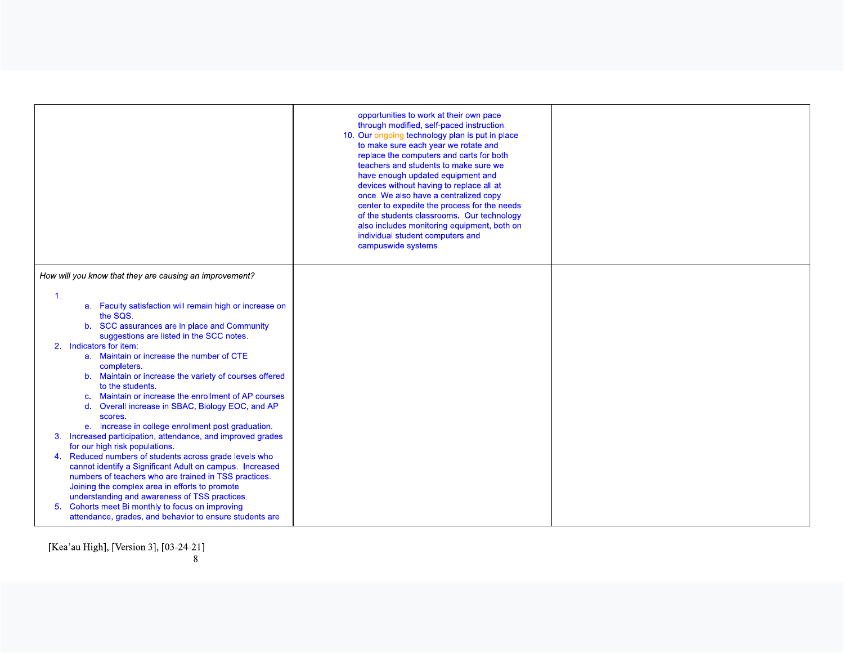|                                                                                                                                                                                                                                                                                                                                                                                                                                                                                                                                                                                                                                                                                                                                                                                                                                                                                                                                                                                                                                                                                                                                | opportunities to work at their own pace<br>through modified, self-paced instruction.<br>10. Our ongoing technology plan is put in place<br>to make sure each year we rotate and<br>replace the computers and carts for both<br>teachers and students to make sure we<br>have enough updated equipment and<br>devices without having to replace all at<br>once. We also have a centralized copy<br>center to expedite the process for the needs<br>of the students classrooms. Our technology<br>also includes monitoring equipment, both on<br>individual student computers and<br>campuswide systems. |  |
|--------------------------------------------------------------------------------------------------------------------------------------------------------------------------------------------------------------------------------------------------------------------------------------------------------------------------------------------------------------------------------------------------------------------------------------------------------------------------------------------------------------------------------------------------------------------------------------------------------------------------------------------------------------------------------------------------------------------------------------------------------------------------------------------------------------------------------------------------------------------------------------------------------------------------------------------------------------------------------------------------------------------------------------------------------------------------------------------------------------------------------|--------------------------------------------------------------------------------------------------------------------------------------------------------------------------------------------------------------------------------------------------------------------------------------------------------------------------------------------------------------------------------------------------------------------------------------------------------------------------------------------------------------------------------------------------------------------------------------------------------|--|
| How will you know that they are causing an improvement?<br>$\mathbf{1}$ .<br>a. Faculty satisfaction will remain high or increase on<br>the SQS.<br>b. SCC assurances are in place and Community<br>suggestions are listed in the SCC notes.<br>Indicators for item:<br>2.<br>a. Maintain or increase the number of CTE<br>completers.<br>b. Maintain or increase the variety of courses offered<br>to the students.<br>Maintain or increase the enrollment of AP courses<br>C.<br>Overall increase in SBAC, Biology EOC, and AP<br>$\mathsf{d}$ .<br>scores.<br>e. Increase in college enrollment post graduation.<br>Increased participation, attendance, and improved grades<br>3.<br>for our high risk populations.<br>Reduced numbers of students across grade levels who<br>4.<br>cannot identify a Significant Adult on campus. Increased<br>numbers of teachers who are trained in TSS practices.<br>Joining the complex area in efforts to promote<br>understanding and awareness of TSS practices.<br>Cohorts meet Bi monthly to focus on improving<br>5.<br>attendance, grades, and behavior to ensure students are |                                                                                                                                                                                                                                                                                                                                                                                                                                                                                                                                                                                                        |  |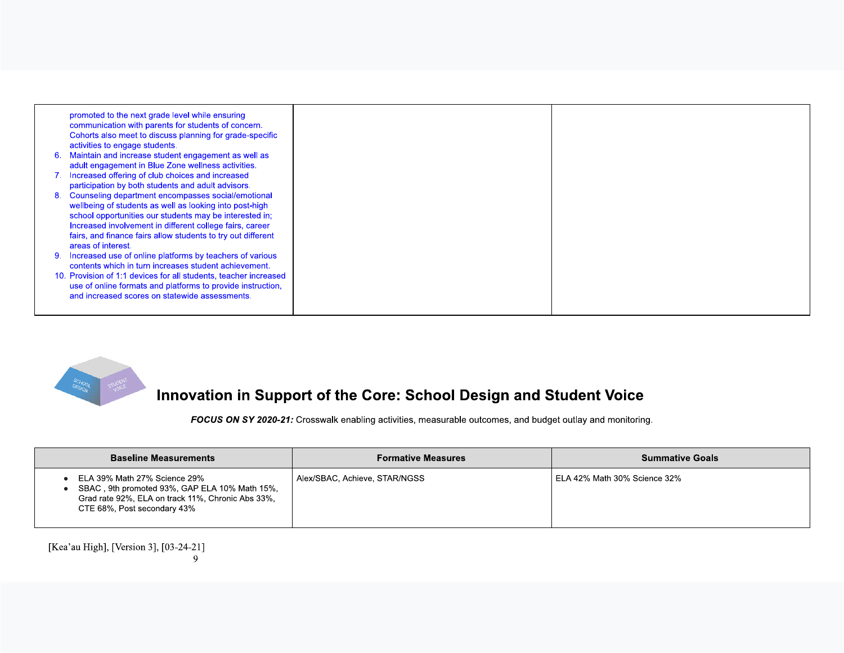



## Innovation in Support of the Core: School Design and Student Voice

FOCUS ON SY 2020-21: Crosswalk enabling activities, measurable outcomes, and budget outlay and monitoring.

| <b>Baseline Measurements</b>                                                                                                                                      | <b>Formative Measures</b>     | <b>Summative Goals</b>       |
|-------------------------------------------------------------------------------------------------------------------------------------------------------------------|-------------------------------|------------------------------|
| ELA 39% Math 27% Science 29%<br>SBAC, 9th promoted 93%, GAP ELA 10% Math 15%,<br>Grad rate 92%, ELA on track 11%, Chronic Abs 33%,<br>CTE 68%, Post secondary 43% | Alex/SBAC, Achieve, STAR/NGSS | ELA 42% Math 30% Science 32% |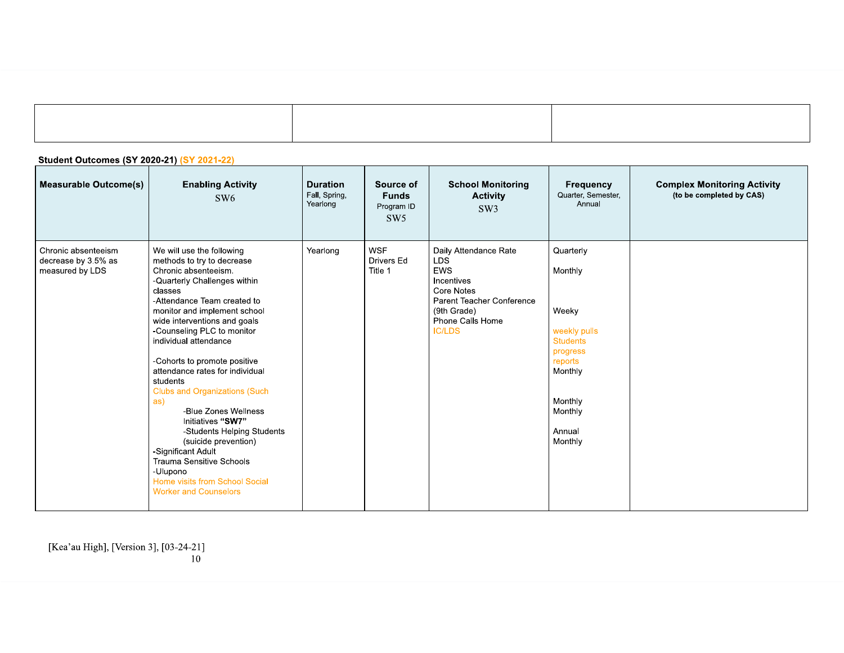| <b>Student Outcomes (SY 2020-21) (SY 2021-22)</b>             |                                                                                                                                                                                                                                                                                                                                                                                                                                                                                                                                                                                                                                                   |                                              |                                                |                                                                                                                                                                |                                                                                                                                               |                                                                |  |
|---------------------------------------------------------------|---------------------------------------------------------------------------------------------------------------------------------------------------------------------------------------------------------------------------------------------------------------------------------------------------------------------------------------------------------------------------------------------------------------------------------------------------------------------------------------------------------------------------------------------------------------------------------------------------------------------------------------------------|----------------------------------------------|------------------------------------------------|----------------------------------------------------------------------------------------------------------------------------------------------------------------|-----------------------------------------------------------------------------------------------------------------------------------------------|----------------------------------------------------------------|--|
| <b>Measurable Outcome(s)</b>                                  | <b>Enabling Activity</b><br>SW <sub>6</sub>                                                                                                                                                                                                                                                                                                                                                                                                                                                                                                                                                                                                       | <b>Duration</b><br>Fall, Spring,<br>Yearlong | Source of<br><b>Funds</b><br>Program ID<br>SW5 | <b>School Monitoring</b><br><b>Activity</b><br>SW <sub>3</sub>                                                                                                 | Frequency<br>Quarter, Semester,<br>Annual                                                                                                     | <b>Complex Monitoring Activity</b><br>(to be completed by CAS) |  |
| Chronic absenteeism<br>decrease by 3.5% as<br>measured by LDS | We will use the following<br>methods to try to decrease<br>Chronic absenteeism.<br>-Quarterly Challenges within<br>classes<br>-Attendance Team created to<br>monitor and implement school<br>wide interventions and goals<br>-Counseling PLC to monitor<br>individual attendance<br>-Cohorts to promote positive<br>attendance rates for individual<br>students<br><b>Clubs and Organizations (Such</b><br>as)<br>-Blue Zones Wellness<br>Initiatives "SW7"<br>-Students Helping Students<br>(suicide prevention)<br>-Significant Adult<br>Trauma Sensitive Schools<br>-Ulupono<br>Home visits from School Social<br><b>Worker and Counselors</b> | Yearlong                                     | <b>WSF</b><br>Drivers Ed<br>Title 1            | Daily Attendance Rate<br><b>LDS</b><br><b>EWS</b><br>Incentives<br>Core Notes<br>Parent Teacher Conference<br>(9th Grade)<br>Phone Calls Home<br><b>IC/LDS</b> | Quarterly<br>Monthly<br>Weeky<br>weekly pulls<br><b>Students</b><br>progress<br>reports<br>Monthly<br>Monthly<br>Monthly<br>Annual<br>Monthly |                                                                |  |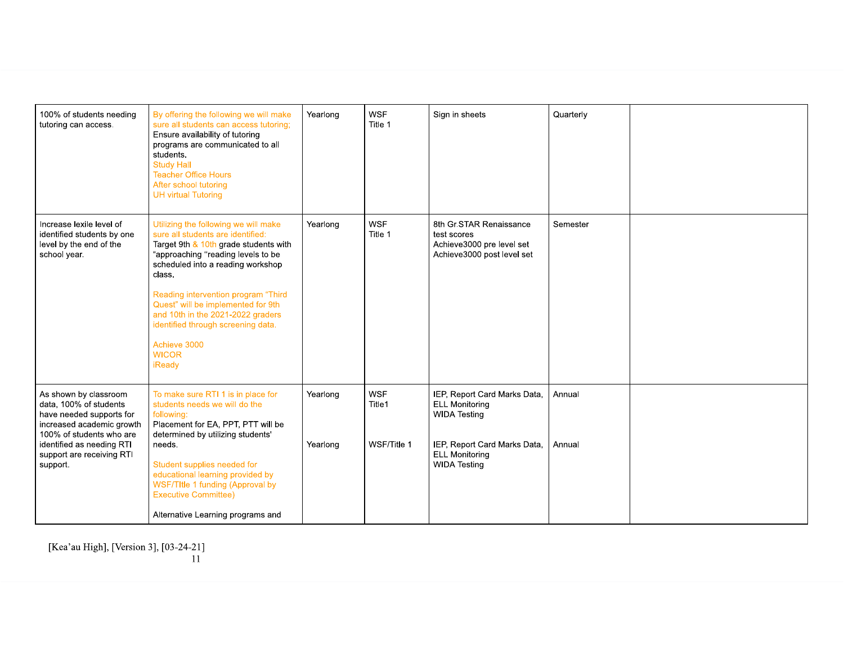| 100% of students needing<br>tutoring can access.                                                                                                                                                           | By offering the following we will make<br>sure all students can access tutoring;<br>Ensure availability of tutoring<br>programs are communicated to all<br>students.<br><b>Study Hall</b><br><b>Teacher Office Hours</b><br>After school tutoring<br><b>UH virtual Tutoring</b>                                                                                                                           | Yearlong             | <b>WSF</b><br>Title 1               | Sign in sheets                                                                                                                                               | Quarterly        |  |
|------------------------------------------------------------------------------------------------------------------------------------------------------------------------------------------------------------|-----------------------------------------------------------------------------------------------------------------------------------------------------------------------------------------------------------------------------------------------------------------------------------------------------------------------------------------------------------------------------------------------------------|----------------------|-------------------------------------|--------------------------------------------------------------------------------------------------------------------------------------------------------------|------------------|--|
| Increase lexile level of<br>identified students by one<br>level by the end of the<br>school year.                                                                                                          | Utilizing the following we will make<br>sure all students are identified:<br>Target 9th & 10th grade students with<br>"approaching "reading levels to be<br>scheduled into a reading workshop<br>class.<br>Reading intervention program "Third<br>Quest" will be implemented for 9th<br>and 10th in the 2021-2022 graders<br>identified through screening data.<br>Achieve 3000<br><b>WICOR</b><br>iReady | Yearlong             | <b>WSF</b><br>Title 1               | 8th Gr.STAR Renaissance<br>test scores<br>Achieve3000 pre level set<br>Achieve3000 post level set                                                            | Semester         |  |
| As shown by classroom<br>data, 100% of students<br>have needed supports for<br>increased academic growth<br>100% of students who are<br>identified as needing RTI<br>support are receiving RTI<br>support. | To make sure RTI 1 is in place for<br>students needs we will do the<br>following:<br>Placement for EA, PPT, PTT will be<br>determined by utilizing students'<br>needs.<br>Student supplies needed for<br>educational learning provided by<br>WSF/TItle 1 funding (Approval by<br><b>Executive Committee)</b><br>Alternative Learning programs and                                                         | Yearlong<br>Yearlong | <b>WSF</b><br>Title1<br>WSF/Title 1 | IEP, Report Card Marks Data,<br><b>ELL Monitoring</b><br><b>WIDA Testing</b><br>IEP, Report Card Marks Data,<br><b>ELL Monitoring</b><br><b>WIDA Testing</b> | Annual<br>Annual |  |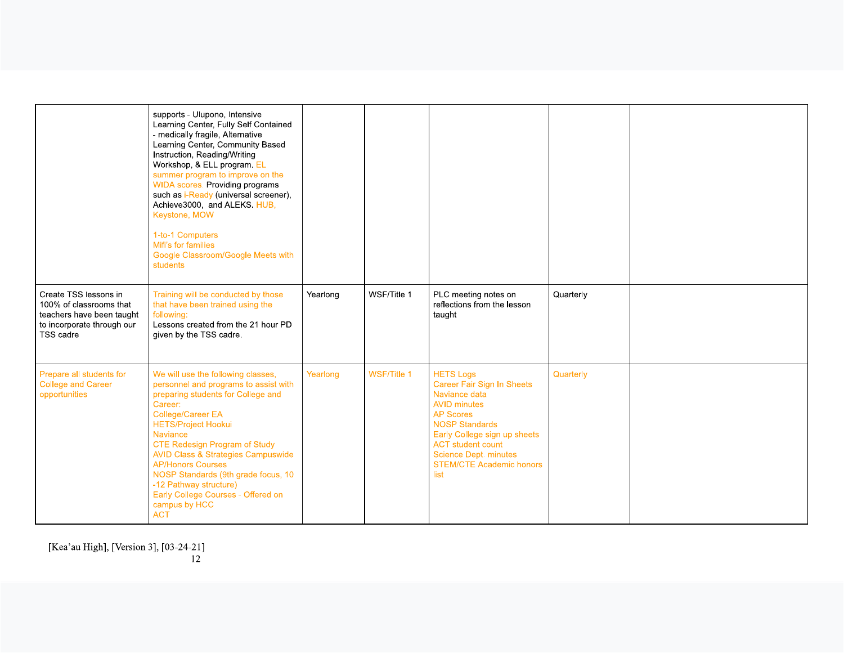|                                                                                                                          | supports - Ulupono, Intensive<br>Learning Center, Fully Self Contained<br>- medically fragile, Alternative<br>Learning Center, Community Based<br>Instruction, Reading/Writing<br>Workshop, & ELL program. EL<br>summer program to improve on the<br><b>WIDA</b> scores. Providing programs<br>such as i-Ready (universal screener),<br>Achieve3000, and ALEKS. HUB,<br>Keystone, MOW<br>1-to-1 Computers<br>Mifi's for families<br>Google Classroom/Google Meets with<br>students |          |                    |                                                                                                                                                                                                                                                                            |           |  |
|--------------------------------------------------------------------------------------------------------------------------|------------------------------------------------------------------------------------------------------------------------------------------------------------------------------------------------------------------------------------------------------------------------------------------------------------------------------------------------------------------------------------------------------------------------------------------------------------------------------------|----------|--------------------|----------------------------------------------------------------------------------------------------------------------------------------------------------------------------------------------------------------------------------------------------------------------------|-----------|--|
| Create TSS lessons in<br>100% of classrooms that<br>teachers have been taught<br>to incorporate through our<br>TSS cadre | Training will be conducted by those<br>that have been trained using the<br>following:<br>Lessons created from the 21 hour PD<br>given by the TSS cadre.                                                                                                                                                                                                                                                                                                                            | Yearlong | WSF/Title 1        | PLC meeting notes on<br>reflections from the lesson<br>taught                                                                                                                                                                                                              | Quarterly |  |
| Prepare all students for<br><b>College and Career</b><br>opportunities                                                   | We will use the following classes,<br>personnel and programs to assist with<br>preparing students for College and<br>Career:<br><b>College/Career EA</b><br><b>HETS/Project Hookui</b><br>Naviance<br><b>CTE Redesign Program of Study</b><br><b>AVID Class &amp; Strategies Campuswide</b><br><b>AP/Honors Courses</b><br>NOSP Standards (9th grade focus, 10<br>-12 Pathway structure)<br>Early College Courses - Offered on<br>campus by HCC<br><b>ACT</b>                      | Yearlong | <b>WSF/Title 1</b> | <b>HETS Logs</b><br>Career Fair Sign In Sheets<br>Naviance data<br><b>AVID</b> minutes<br><b>AP Scores</b><br><b>NOSP Standards</b><br>Early College sign up sheets<br><b>ACT</b> student count<br><b>Science Dept. minutes</b><br><b>STEM/CTE Academic honors</b><br>list | Quarterly |  |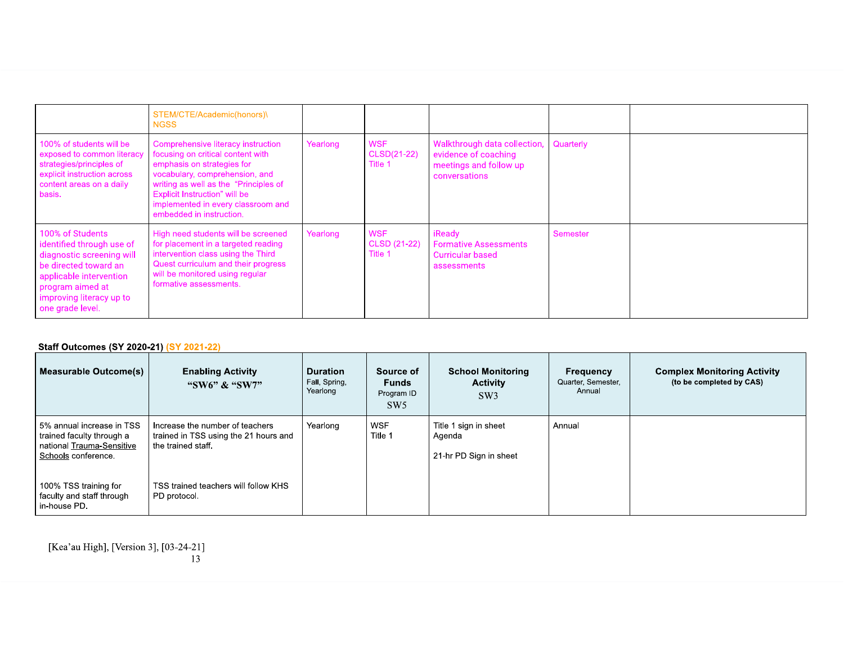|                                                                                                                                                                                                    | STEM/CTE/Academic(honors)\<br><b>NGSS</b>                                                                                                                                                                                                                                           |          |                                       |                                                                                                 |           |  |
|----------------------------------------------------------------------------------------------------------------------------------------------------------------------------------------------------|-------------------------------------------------------------------------------------------------------------------------------------------------------------------------------------------------------------------------------------------------------------------------------------|----------|---------------------------------------|-------------------------------------------------------------------------------------------------|-----------|--|
| 100% of students will be<br>exposed to common literacy<br>strategies/principles of<br>explicit instruction across<br>content areas on a daily<br>basis.                                            | Comprehensive literacy instruction<br>focusing on critical content with<br>emphasis on strategies for<br>vocabulary, comprehension, and<br>writing as well as the "Principles of<br>Explicit Instruction" will be<br>implemented in every classroom and<br>embedded in instruction. | Yearlong | <b>WSF</b><br>CLSD(21-22)<br>Title 1  | Walkthrough data collection,<br>evidence of coaching<br>meetings and follow up<br>conversations | Quarterly |  |
| 100% of Students<br>identified through use of<br>diagnostic screening will<br>be directed toward an<br>applicable intervention<br>program aimed at<br>improving literacy up to<br>one grade level. | High need students will be screened<br>for placement in a targeted reading<br>intervention class using the Third<br>Quest curriculum and their progress<br>will be monitored using regular<br>formative assessments.                                                                | Yearlong | <b>WSF</b><br>CLSD (21-22)<br>Title 1 | iReady<br><b>Formative Assessments</b><br><b>Curricular based</b><br>assessments                | Semester  |  |

### **Staff Outcomes (SY 2020-21) (SY 2021-22)**

| Measurable Outcome(s)                                                                                      | <b>Enabling Activity</b><br>"SW6" & "SW7"                                                      | <b>Duration</b><br>Fall, Spring,<br>Yearlong | Source of<br><b>Funds</b><br>Program ID<br>SW5 | <b>School Monitoring</b><br><b>Activity</b><br>SW3        | Frequency<br>Quarter, Semester,<br>Annual | <b>Complex Monitoring Activity</b><br>(to be completed by CAS) |
|------------------------------------------------------------------------------------------------------------|------------------------------------------------------------------------------------------------|----------------------------------------------|------------------------------------------------|-----------------------------------------------------------|-------------------------------------------|----------------------------------------------------------------|
| 5% annual increase in TSS<br>trained faculty through a<br>national Trauma-Sensitive<br>Schools conference. | Increase the number of teachers<br>trained in TSS using the 21 hours and<br>the trained staff. | Yearlong                                     | <b>WSF</b><br>Title 1                          | Title 1 sign in sheet<br>Agenda<br>21-hr PD Sign in sheet | Annual                                    |                                                                |
| 100% TSS training for<br>faculty and staff through<br>in-house PD.                                         | TSS trained teachers will follow KHS<br>PD protocol.                                           |                                              |                                                |                                                           |                                           |                                                                |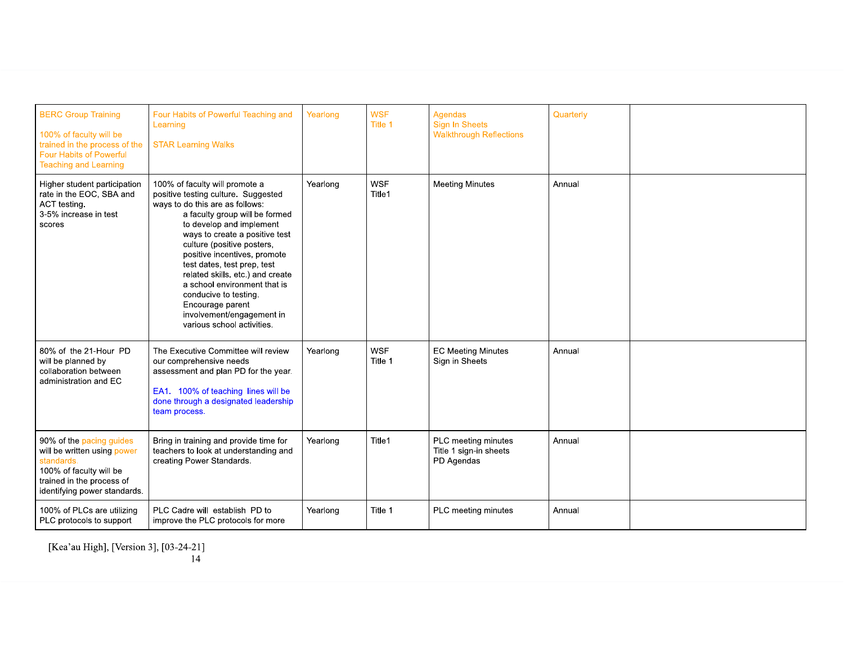| <b>BERC Group Training</b><br>100% of faculty will be<br>trained in the process of the<br><b>Four Habits of Powerful</b><br><b>Teaching and Learning</b>      | Four Habits of Powerful Teaching and<br>Learning<br><b>STAR Learning Walks</b>                                                                                                                                                                                                                                                                                                                                                                                                    | Yearlong | <b>WSF</b><br>Title 1 | Agendas<br><b>Sign In Sheets</b><br><b>Walkthrough Reflections</b> | Quarterly |  |
|---------------------------------------------------------------------------------------------------------------------------------------------------------------|-----------------------------------------------------------------------------------------------------------------------------------------------------------------------------------------------------------------------------------------------------------------------------------------------------------------------------------------------------------------------------------------------------------------------------------------------------------------------------------|----------|-----------------------|--------------------------------------------------------------------|-----------|--|
| Higher student participation<br>rate in the EOC, SBA and<br>ACT testing.<br>3-5% increase in test<br>scores                                                   | 100% of faculty will promote a<br>positive testing culture. Suggested<br>ways to do this are as follows:<br>a faculty group will be formed<br>to develop and implement<br>ways to create a positive test<br>culture (positive posters,<br>positive incentives, promote<br>test dates, test prep, test<br>related skills. etc.) and create<br>a school environment that is<br>conducive to testing.<br>Encourage parent<br>involvement/engagement in<br>various school activities. | Yearlong | <b>WSF</b><br>Title1  | <b>Meeting Minutes</b>                                             | Annual    |  |
| 80% of the 21-Hour PD<br>will be planned by<br>collaboration between<br>administration and EC                                                                 | The Executive Committee will review<br>our comprehensive needs<br>assessment and plan PD for the year.<br>EA1. 100% of teaching lines will be<br>done through a designated leadership<br>team process.                                                                                                                                                                                                                                                                            | Yearlong | <b>WSF</b><br>Title 1 | <b>EC Meeting Minutes</b><br>Sign in Sheets                        | Annual    |  |
| 90% of the pacing guides<br>will be written using power<br>standards.<br>100% of faculty will be<br>trained in the process of<br>identifying power standards. | Bring in training and provide time for<br>teachers to look at understanding and<br>creating Power Standards.                                                                                                                                                                                                                                                                                                                                                                      | Yearlong | Title1                | PLC meeting minutes<br>Title 1 sign-in sheets<br>PD Agendas        | Annual    |  |
| 100% of PLCs are utilizing<br>PLC protocols to support                                                                                                        | PLC Cadre will establish PD to<br>improve the PLC protocols for more                                                                                                                                                                                                                                                                                                                                                                                                              | Yearlong | Title 1               | PLC meeting minutes                                                | Annual    |  |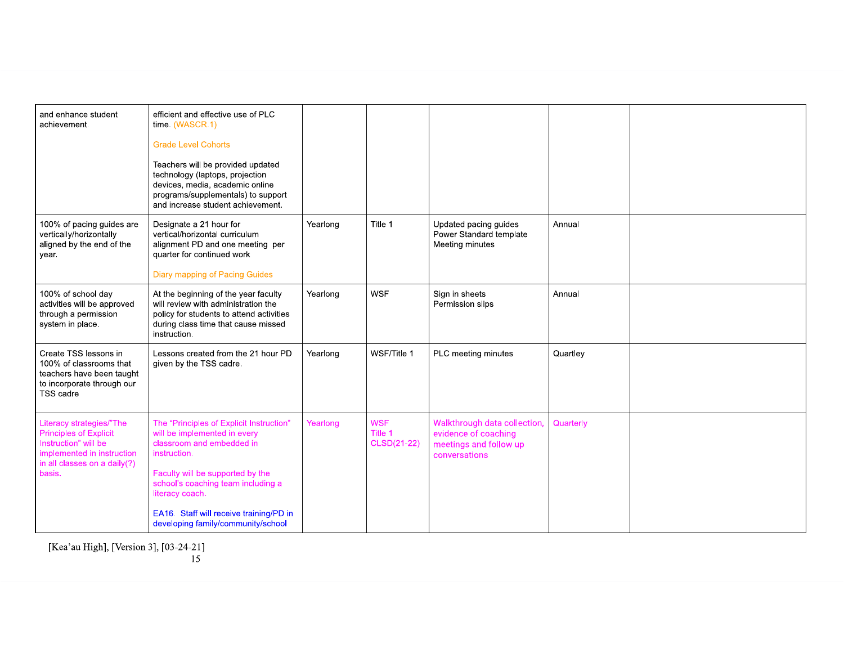| and enhance student<br>achievement.                                                                                                                       | efficient and effective use of PLC<br>time. (WASCR.1)<br><b>Grade Level Cohorts</b><br>Teachers will be provided updated<br>technology (laptops, projection<br>devices, media, academic online<br>programs/supplementals) to support<br>and increase student achievement.                           |          |                                      |                                                                                                 |           |  |
|-----------------------------------------------------------------------------------------------------------------------------------------------------------|-----------------------------------------------------------------------------------------------------------------------------------------------------------------------------------------------------------------------------------------------------------------------------------------------------|----------|--------------------------------------|-------------------------------------------------------------------------------------------------|-----------|--|
| 100% of pacing guides are<br>vertically/horizontally<br>aligned by the end of the<br>year.                                                                | Designate a 21 hour for<br>vertical/horizontal curriculum<br>alignment PD and one meeting per<br>quarter for continued work<br>Diary mapping of Pacing Guides                                                                                                                                       | Yearlong | Title 1                              | Updated pacing guides<br>Power Standard template<br>Meeting minutes                             | Annual    |  |
| 100% of school day<br>activities will be approved<br>through a permission<br>system in place.                                                             | At the beginning of the year faculty<br>will review with administration the<br>policy for students to attend activities<br>during class time that cause missed<br>instruction.                                                                                                                      | Yearlong | <b>WSF</b>                           | Sign in sheets<br>Permission slips                                                              | Annual    |  |
| Create TSS lessons in<br>100% of classrooms that<br>teachers have been taught<br>to incorporate through our<br>TSS cadre                                  | Lessons created from the 21 hour PD<br>given by the TSS cadre.                                                                                                                                                                                                                                      | Yearlong | WSF/Title 1                          | PLC meeting minutes                                                                             | Quartley  |  |
| Literacy strategies/"The<br><b>Principles of Explicit</b><br>Instruction" will be<br>implemented in instruction<br>in all classes on a daily(?)<br>basis. | The "Principles of Explicit Instruction"<br>will be implemented in every<br>classroom and embedded in<br>instruction.<br>Faculty will be supported by the<br>school's coaching team including a<br>literacy coach.<br>EA16. Staff will receive training/PD in<br>developing family/community/school | Yearlong | <b>WSF</b><br>Title 1<br>CLSD(21-22) | Walkthrough data collection,<br>evidence of coaching<br>meetings and follow up<br>conversations | Quarterly |  |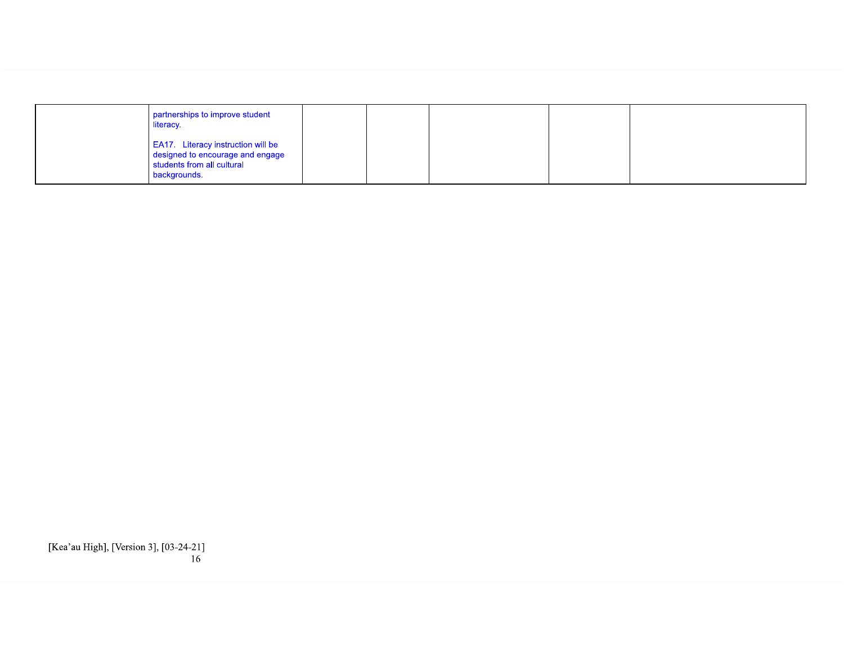| partnerships to improve student<br>literacy.                                                                                |  |  |  |
|-----------------------------------------------------------------------------------------------------------------------------|--|--|--|
| <b>EA17.</b> Literacy instruction will be<br>designed to encourage and engage<br>students from all cultural<br>backgrounds. |  |  |  |